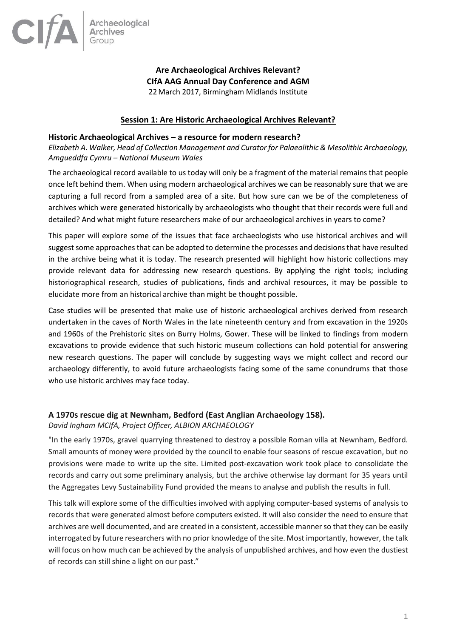

# **Are Archaeological Archives Relevant? CIfA AAG Annual Day Conference and AGM** 22March 2017, Birmingham Midlands Institute

# **Session 1: Are Historic Archaeological Archives Relevant?**

#### **Historic Archaeological Archives – a resource for modern research?**

*Elizabeth A. Walker, Head of Collection Management and Curator for Palaeolithic & Mesolithic Archaeology, Amgueddfa Cymru – National Museum Wales*

The archaeological record available to us today will only be a fragment of the material remains that people once left behind them. When using modern archaeological archives we can be reasonably sure that we are capturing a full record from a sampled area of a site. But how sure can we be of the completeness of archives which were generated historically by archaeologists who thought that their records were full and detailed? And what might future researchers make of our archaeological archives in years to come?

This paper will explore some of the issues that face archaeologists who use historical archives and will suggest some approaches that can be adopted to determine the processes and decisions that have resulted in the archive being what it is today. The research presented will highlight how historic collections may provide relevant data for addressing new research questions. By applying the right tools; including historiographical research, studies of publications, finds and archival resources, it may be possible to elucidate more from an historical archive than might be thought possible.

Case studies will be presented that make use of historic archaeological archives derived from research undertaken in the caves of North Wales in the late nineteenth century and from excavation in the 1920s and 1960s of the Prehistoric sites on Burry Holms, Gower. These will be linked to findings from modern excavations to provide evidence that such historic museum collections can hold potential for answering new research questions. The paper will conclude by suggesting ways we might collect and record our archaeology differently, to avoid future archaeologists facing some of the same conundrums that those who use historic archives may face today.

# **A 1970s rescue dig at Newnham, Bedford (East Anglian Archaeology 158).**

# *David Ingham MCIfA, Project Officer, ALBION ARCHAEOLOGY*

"In the early 1970s, gravel quarrying threatened to destroy a possible Roman villa at Newnham, Bedford. Small amounts of money were provided by the council to enable four seasons of rescue excavation, but no provisions were made to write up the site. Limited post-excavation work took place to consolidate the records and carry out some preliminary analysis, but the archive otherwise lay dormant for 35 years until the Aggregates Levy Sustainability Fund provided the means to analyse and publish the results in full.

This talk will explore some of the difficulties involved with applying computer-based systems of analysis to records that were generated almost before computers existed. It will also consider the need to ensure that archives are well documented, and are created in a consistent, accessible manner so that they can be easily interrogated by future researchers with no prior knowledge of the site. Most importantly, however, the talk will focus on how much can be achieved by the analysis of unpublished archives, and how even the dustiest of records can still shine a light on our past."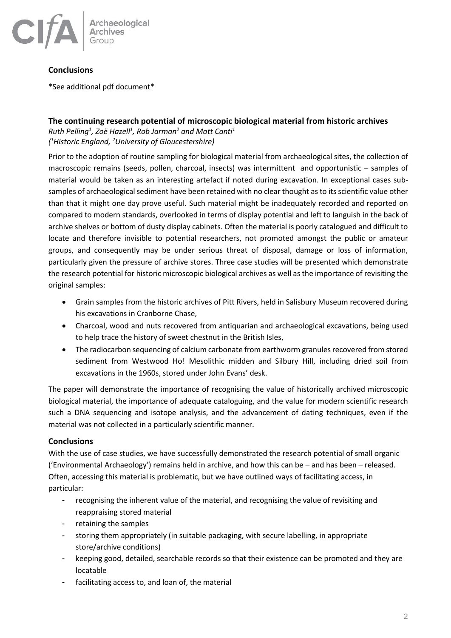

# **Conclusions**

\*See additional pdf document\*

# **The continuing research potential of microscopic biological material from historic archives**

*Ruth Pelling<sup>1</sup> , Zoë Hazell<sup>1</sup> , Rob Jarman<sup>2</sup> and Matt Canti<sup>1</sup> ( <sup>1</sup>Historic England, <sup>2</sup>University of Gloucestershire)* 

Prior to the adoption of routine sampling for biological material from archaeological sites, the collection of macroscopic remains (seeds, pollen, charcoal, insects) was intermittent and opportunistic – samples of material would be taken as an interesting artefact if noted during excavation. In exceptional cases subsamples of archaeological sediment have been retained with no clear thought as to its scientific value other than that it might one day prove useful. Such material might be inadequately recorded and reported on compared to modern standards, overlooked in terms of display potential and left to languish in the back of archive shelves or bottom of dusty display cabinets. Often the material is poorly catalogued and difficult to locate and therefore invisible to potential researchers, not promoted amongst the public or amateur groups, and consequently may be under serious threat of disposal, damage or loss of information, particularly given the pressure of archive stores. Three case studies will be presented which demonstrate the research potential for historic microscopic biological archives as well as the importance of revisiting the original samples:

- Grain samples from the historic archives of Pitt Rivers, held in Salisbury Museum recovered during his excavations in Cranborne Chase,
- Charcoal, wood and nuts recovered from antiquarian and archaeological excavations, being used to help trace the history of sweet chestnut in the British Isles,
- The radiocarbon sequencing of calcium carbonate from earthworm granules recovered from stored sediment from Westwood Ho! Mesolithic midden and Silbury Hill, including dried soil from excavations in the 1960s, stored under John Evans' desk.

The paper will demonstrate the importance of recognising the value of historically archived microscopic biological material, the importance of adequate cataloguing, and the value for modern scientific research such a DNA sequencing and isotope analysis, and the advancement of dating techniques, even if the material was not collected in a particularly scientific manner.

# **Conclusions**

With the use of case studies, we have successfully demonstrated the research potential of small organic ('Environmental Archaeology') remains held in archive, and how this can be – and has been – released. Often, accessing this material is problematic, but we have outlined ways of facilitating access, in particular:

- recognising the inherent value of the material, and recognising the value of revisiting and reappraising stored material
- retaining the samples
- storing them appropriately (in suitable packaging, with secure labelling, in appropriate store/archive conditions)
- keeping good, detailed, searchable records so that their existence can be promoted and they are locatable
- facilitating access to, and loan of, the material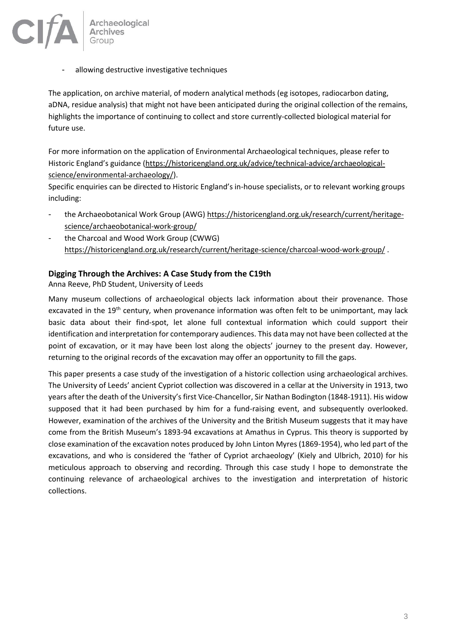

allowing destructive investigative techniques

The application, on archive material, of modern analytical methods (eg isotopes, radiocarbon dating, aDNA, residue analysis) that might not have been anticipated during the original collection of the remains, highlights the importance of continuing to collect and store currently-collected biological material for future use.

For more information on the application of Environmental Archaeological techniques, please refer to Historic England's guidance ([https://historicengland.org.uk/advice/technical-advice/archaeological](https://historicengland.org.uk/advice/technical-advice/archaeological-science/environmental-archaeology/)[science/environmental-archaeology/\)](https://historicengland.org.uk/advice/technical-advice/archaeological-science/environmental-archaeology/).

Specific enquiries can be directed to Historic England's in-house specialists, or to relevant working groups including:

- the Archaeobotanical Work Group (AWG) [https://historicengland.org.uk/research/current/heritage](https://historicengland.org.uk/research/current/heritage-science/archaeobotanical-work-group/)[science/archaeobotanical-work-group/](https://historicengland.org.uk/research/current/heritage-science/archaeobotanical-work-group/)
- the Charcoal and Wood Work Group (CWWG) <https://historicengland.org.uk/research/current/heritage-science/charcoal-wood-work-group/> .

# **Digging Through the Archives: A Case Study from the C19th**

Anna Reeve, PhD Student, University of Leeds

Many museum collections of archaeological objects lack information about their provenance. Those excavated in the 19<sup>th</sup> century, when provenance information was often felt to be unimportant, may lack basic data about their find-spot, let alone full contextual information which could support their identification and interpretation for contemporary audiences. This data may not have been collected at the point of excavation, or it may have been lost along the objects' journey to the present day. However, returning to the original records of the excavation may offer an opportunity to fill the gaps.

This paper presents a case study of the investigation of a historic collection using archaeological archives. The University of Leeds' ancient Cypriot collection was discovered in a cellar at the University in 1913, two years after the death of the University's first Vice-Chancellor, Sir Nathan Bodington (1848-1911). His widow supposed that it had been purchased by him for a fund-raising event, and subsequently overlooked. However, examination of the archives of the University and the British Museum suggests that it may have come from the British Museum's 1893-94 excavations at Amathus in Cyprus. This theory is supported by close examination of the excavation notes produced by John Linton Myres (1869-1954), who led part of the excavations, and who is considered the 'father of Cypriot archaeology' (Kiely and Ulbrich, 2010) for his meticulous approach to observing and recording. Through this case study I hope to demonstrate the continuing relevance of archaeological archives to the investigation and interpretation of historic collections.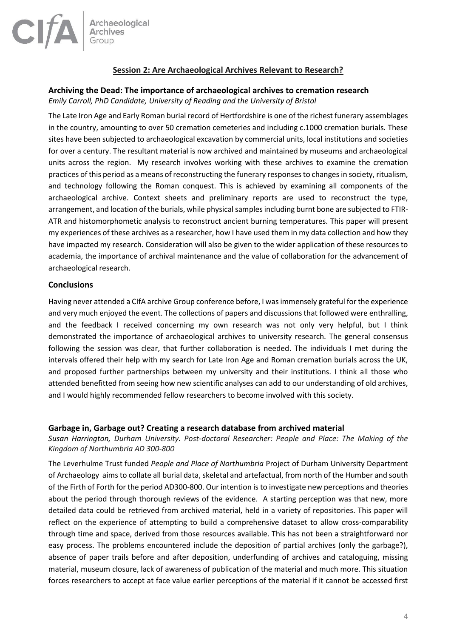

# **Session 2: Are Archaeological Archives Relevant to Research?**

# **Archiving the Dead: The importance of archaeological archives to cremation research**

*Emily Carroll, PhD Candidate, University of Reading and the University of Bristol*

The Late Iron Age and Early Roman burial record of Hertfordshire is one of the richest funerary assemblages in the country, amounting to over 50 cremation cemeteries and including c.1000 cremation burials. These sites have been subjected to archaeological excavation by commercial units, local institutions and societies for over a century. The resultant material is now archived and maintained by museums and archaeological units across the region. My research involves working with these archives to examine the cremation practices of this period as a means of reconstructing the funerary responses to changes in society, ritualism, and technology following the Roman conquest. This is achieved by examining all components of the archaeological archive. Context sheets and preliminary reports are used to reconstruct the type, arrangement, and location of the burials, while physical samples including burnt bone are subjected to FTIR-ATR and histomorphometic analysis to reconstruct ancient burning temperatures. This paper will present my experiences of these archives as a researcher, how I have used them in my data collection and how they have impacted my research. Consideration will also be given to the wider application of these resources to academia, the importance of archival maintenance and the value of collaboration for the advancement of archaeological research.

# **Conclusions**

Having never attended a CIfA archive Group conference before, I was immensely grateful for the experience and very much enjoyed the event. The collections of papers and discussions that followed were enthralling, and the feedback I received concerning my own research was not only very helpful, but I think demonstrated the importance of archaeological archives to university research. The general consensus following the session was clear, that further collaboration is needed. The individuals I met during the intervals offered their help with my search for Late Iron Age and Roman cremation burials across the UK, and proposed further partnerships between my university and their institutions. I think all those who attended benefitted from seeing how new scientific analyses can add to our understanding of old archives, and I would highly recommended fellow researchers to become involved with this society.

# **Garbage in, Garbage out? Creating a research database from archived material**

*Susan Harrington, Durham University. Post-doctoral Researcher: People and Place: The Making of the Kingdom of Northumbria AD 300-800*

The Leverhulme Trust funded *People and Place of Northumbria* Project of Durham University Department of Archaeology aims to collate all burial data, skeletal and artefactual, from north of the Humber and south of the Firth of Forth for the period AD300-800. Our intention is to investigate new perceptions and theories about the period through thorough reviews of the evidence. A starting perception was that new, more detailed data could be retrieved from archived material, held in a variety of repositories. This paper will reflect on the experience of attempting to build a comprehensive dataset to allow cross-comparability through time and space, derived from those resources available. This has not been a straightforward nor easy process. The problems encountered include the deposition of partial archives (only the garbage?), absence of paper trails before and after deposition, underfunding of archives and cataloguing, missing material, museum closure, lack of awareness of publication of the material and much more. This situation forces researchers to accept at face value earlier perceptions of the material if it cannot be accessed first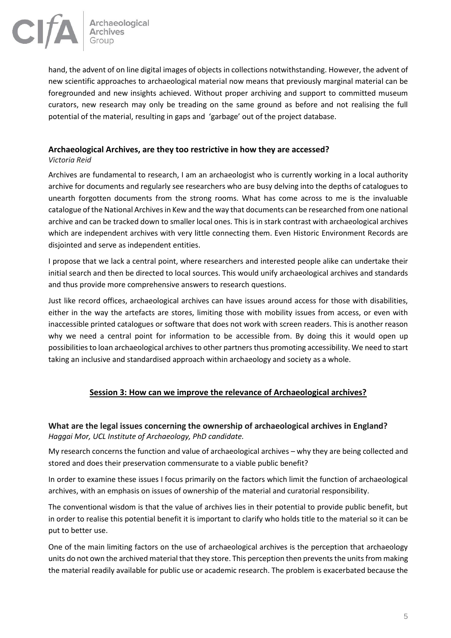

hand, the advent of on line digital images of objects in collections notwithstanding. However, the advent of new scientific approaches to archaeological material now means that previously marginal material can be foregrounded and new insights achieved. Without proper archiving and support to committed museum curators, new research may only be treading on the same ground as before and not realising the full potential of the material, resulting in gaps and 'garbage' out of the project database.

# **Archaeological Archives, are they too restrictive in how they are accessed?**

#### *Victoria Reid*

Archives are fundamental to research, I am an archaeologist who is currently working in a local authority archive for documents and regularly see researchers who are busy delving into the depths of catalogues to unearth forgotten documents from the strong rooms. What has come across to me is the invaluable catalogue of the National Archives in Kew and the way that documents can be researched from one national archive and can be tracked down to smaller local ones. This is in stark contrast with archaeological archives which are independent archives with very little connecting them. Even Historic Environment Records are disjointed and serve as independent entities.

I propose that we lack a central point, where researchers and interested people alike can undertake their initial search and then be directed to local sources. This would unify archaeological archives and standards and thus provide more comprehensive answers to research questions.

Just like record offices, archaeological archives can have issues around access for those with disabilities, either in the way the artefacts are stores, limiting those with mobility issues from access, or even with inaccessible printed catalogues or software that does not work with screen readers. This is another reason why we need a central point for information to be accessible from. By doing this it would open up possibilities to loan archaeological archives to other partners thus promoting accessibility. We need to start taking an inclusive and standardised approach within archaeology and society as a whole.

# **Session 3: How can we improve the relevance of Archaeological archives?**

# **What are the legal issues concerning the ownership of archaeological archives in England?** *Haggai Mor, UCL Institute of Archaeology, PhD candidate.*

My research concerns the function and value of archaeological archives – why they are being collected and stored and does their preservation commensurate to a viable public benefit?

In order to examine these issues I focus primarily on the factors which limit the function of archaeological archives, with an emphasis on issues of ownership of the material and curatorial responsibility.

The conventional wisdom is that the value of archives lies in their potential to provide public benefit, but in order to realise this potential benefit it is important to clarify who holds title to the material so it can be put to better use.

One of the main limiting factors on the use of archaeological archives is the perception that archaeology units do not own the archived material that they store. This perception then prevents the units from making the material readily available for public use or academic research. The problem is exacerbated because the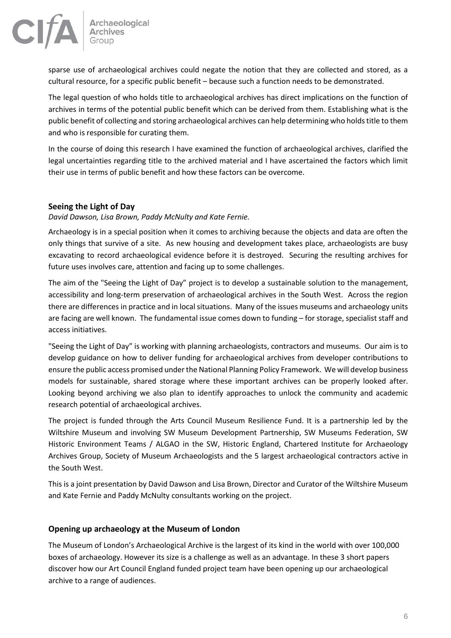

sparse use of archaeological archives could negate the notion that they are collected and stored, as a cultural resource, for a specific public benefit – because such a function needs to be demonstrated.

The legal question of who holds title to archaeological archives has direct implications on the function of archives in terms of the potential public benefit which can be derived from them. Establishing what is the public benefit of collecting and storing archaeological archives can help determining who holds title to them and who is responsible for curating them.

In the course of doing this research I have examined the function of archaeological archives, clarified the legal uncertainties regarding title to the archived material and I have ascertained the factors which limit their use in terms of public benefit and how these factors can be overcome.

# **Seeing the Light of Day**

# *David Dawson, Lisa Brown, Paddy McNulty and Kate Fernie.*

Archaeology is in a special position when it comes to archiving because the objects and data are often the only things that survive of a site. As new housing and development takes place, archaeologists are busy excavating to record archaeological evidence before it is destroyed. Securing the resulting archives for future uses involves care, attention and facing up to some challenges.

The aim of the "Seeing the Light of Day" project is to develop a sustainable solution to the management, accessibility and long-term preservation of archaeological archives in the South West. Across the region there are differences in practice and in local situations. Many of the issues museums and archaeology units are facing are well known. The fundamental issue comes down to funding – for storage, specialist staff and access initiatives.

"Seeing the Light of Day" is working with planning archaeologists, contractors and museums. Our aim is to develop guidance on how to deliver funding for archaeological archives from developer contributions to ensure the public access promised under the National Planning Policy Framework. We will develop business models for sustainable, shared storage where these important archives can be properly looked after. Looking beyond archiving we also plan to identify approaches to unlock the community and academic research potential of archaeological archives.

The project is funded through the Arts Council Museum Resilience Fund. It is a partnership led by the Wiltshire Museum and involving SW Museum Development Partnership, SW Museums Federation, SW Historic Environment Teams / ALGAO in the SW, Historic England, Chartered Institute for Archaeology Archives Group, Society of Museum Archaeologists and the 5 largest archaeological contractors active in the South West.

This is a joint presentation by David Dawson and Lisa Brown, Director and Curator of the Wiltshire Museum and Kate Fernie and Paddy McNulty consultants working on the project.

# **Opening up archaeology at the Museum of London**

The Museum of London's Archaeological Archive is the largest of its kind in the world with over 100,000 boxes of archaeology. However its size is a challenge as well as an advantage. In these 3 short papers discover how our Art Council England funded project team have been opening up our archaeological archive to a range of audiences.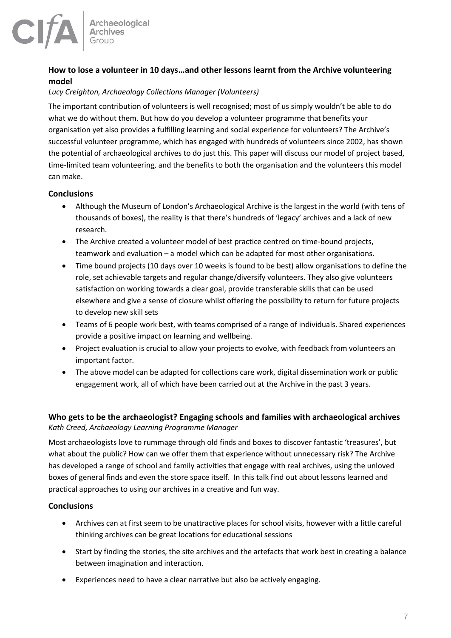

# **How to lose a volunteer in 10 days…and other lessons learnt from the Archive volunteering model**

#### *Lucy Creighton, Archaeology Collections Manager (Volunteers)*

The important contribution of volunteers is well recognised; most of us simply wouldn't be able to do what we do without them. But how do you develop a volunteer programme that benefits your organisation yet also provides a fulfilling learning and social experience for volunteers? The Archive's successful volunteer programme, which has engaged with hundreds of volunteers since 2002, has shown the potential of archaeological archives to do just this. This paper will discuss our model of project based, time-limited team volunteering, and the benefits to both the organisation and the volunteers this model can make.

# **Conclusions**

- Although the Museum of London's Archaeological Archive is the largest in the world (with tens of thousands of boxes), the reality is that there's hundreds of 'legacy' archives and a lack of new research.
- The Archive created a volunteer model of best practice centred on time-bound projects, teamwork and evaluation – a model which can be adapted for most other organisations.
- Time bound projects (10 days over 10 weeks is found to be best) allow organisations to define the role, set achievable targets and regular change/diversify volunteers. They also give volunteers satisfaction on working towards a clear goal, provide transferable skills that can be used elsewhere and give a sense of closure whilst offering the possibility to return for future projects to develop new skill sets
- Teams of 6 people work best, with teams comprised of a range of individuals. Shared experiences provide a positive impact on learning and wellbeing.
- Project evaluation is crucial to allow your projects to evolve, with feedback from volunteers an important factor.
- The above model can be adapted for collections care work, digital dissemination work or public engagement work, all of which have been carried out at the Archive in the past 3 years.

# **Who gets to be the archaeologist? Engaging schools and families with archaeological archives** *Kath Creed, Archaeology Learning Programme Manager*

Most archaeologists love to rummage through old finds and boxes to discover fantastic 'treasures', but what about the public? How can we offer them that experience without unnecessary risk? The Archive has developed a range of school and family activities that engage with real archives, using the unloved boxes of general finds and even the store space itself. In this talk find out about lessons learned and practical approaches to using our archives in a creative and fun way.

# **Conclusions**

- Archives can at first seem to be unattractive places for school visits, however with a little careful thinking archives can be great locations for educational sessions
- Start by finding the stories, the site archives and the artefacts that work best in creating a balance between imagination and interaction.
- Experiences need to have a clear narrative but also be actively engaging.